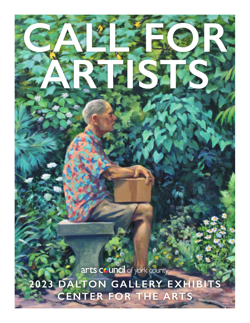arts council of york county

**CALL FOR** 

**ARTISTS**

**2023 DALTON GALLERY EXHIBITS CENTER FOR THE ARTS**